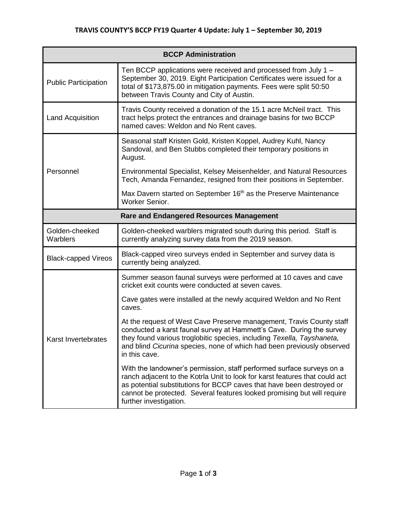| <b>BCCP Administration</b>                      |                                                                                                                                                                                                                                                                                                                                    |  |
|-------------------------------------------------|------------------------------------------------------------------------------------------------------------------------------------------------------------------------------------------------------------------------------------------------------------------------------------------------------------------------------------|--|
| <b>Public Participation</b>                     | Ten BCCP applications were received and processed from July 1 -<br>September 30, 2019. Eight Participation Certificates were issued for a<br>total of \$173,875.00 in mitigation payments. Fees were split 50:50<br>between Travis County and City of Austin.                                                                      |  |
| Land Acquisition                                | Travis County received a donation of the 15.1 acre McNeil tract. This<br>tract helps protect the entrances and drainage basins for two BCCP<br>named caves: Weldon and No Rent caves.                                                                                                                                              |  |
| Personnel                                       | Seasonal staff Kristen Gold, Kristen Koppel, Audrey Kuhl, Nancy<br>Sandoval, and Ben Stubbs completed their temporary positions in<br>August.                                                                                                                                                                                      |  |
|                                                 | Environmental Specialist, Kelsey Meisenhelder, and Natural Resources<br>Tech, Amanda Fernandez, resigned from their positions in September.                                                                                                                                                                                        |  |
|                                                 | Max Davern started on September 16 <sup>th</sup> as the Preserve Maintenance<br>Worker Senior.                                                                                                                                                                                                                                     |  |
| <b>Rare and Endangered Resources Management</b> |                                                                                                                                                                                                                                                                                                                                    |  |
| Golden-cheeked<br>Warblers                      | Golden-cheeked warblers migrated south during this period. Staff is<br>currently analyzing survey data from the 2019 season.                                                                                                                                                                                                       |  |
| <b>Black-capped Vireos</b>                      | Black-capped vireo surveys ended in September and survey data is<br>currently being analyzed.                                                                                                                                                                                                                                      |  |
| Karst Invertebrates                             | Summer season faunal surveys were performed at 10 caves and cave<br>cricket exit counts were conducted at seven caves.                                                                                                                                                                                                             |  |
|                                                 | Cave gates were installed at the newly acquired Weldon and No Rent<br>caves.                                                                                                                                                                                                                                                       |  |
|                                                 | At the request of West Cave Preserve management, Travis County staff<br>conducted a karst faunal survey at Hammett's Cave. During the survey<br>they found various troglobitic species, including Texella, Tayshaneta,<br>and blind Cicurina species, none of which had been previously observed<br>in this cave.                  |  |
|                                                 | With the landowner's permission, staff performed surface surveys on a<br>ranch adjacent to the Kotrla Unit to look for karst features that could act<br>as potential substitutions for BCCP caves that have been destroyed or<br>cannot be protected. Several features looked promising but will require<br>further investigation. |  |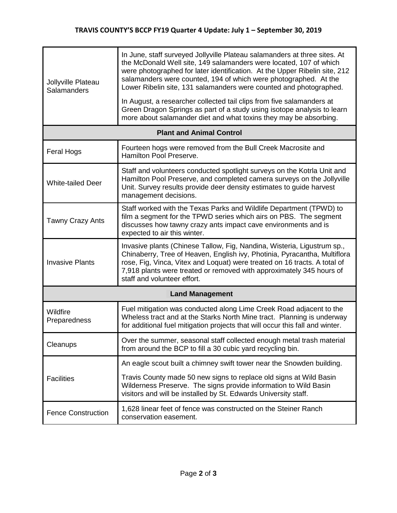| Jollyville Plateau<br>Salamanders | In June, staff surveyed Jollyville Plateau salamanders at three sites. At<br>the McDonald Well site, 149 salamanders were located, 107 of which<br>were photographed for later identification. At the Upper Ribelin site, 212<br>salamanders were counted, 194 of which were photographed. At the<br>Lower Ribelin site, 131 salamanders were counted and photographed. |  |
|-----------------------------------|-------------------------------------------------------------------------------------------------------------------------------------------------------------------------------------------------------------------------------------------------------------------------------------------------------------------------------------------------------------------------|--|
|                                   | In August, a researcher collected tail clips from five salamanders at<br>Green Dragon Springs as part of a study using isotope analysis to learn<br>more about salamander diet and what toxins they may be absorbing.                                                                                                                                                   |  |
| <b>Plant and Animal Control</b>   |                                                                                                                                                                                                                                                                                                                                                                         |  |
| <b>Feral Hogs</b>                 | Fourteen hogs were removed from the Bull Creek Macrosite and<br>Hamilton Pool Preserve.                                                                                                                                                                                                                                                                                 |  |
| <b>White-tailed Deer</b>          | Staff and volunteers conducted spotlight surveys on the Kotrla Unit and<br>Hamilton Pool Preserve, and completed camera surveys on the Jollyville<br>Unit. Survey results provide deer density estimates to guide harvest<br>management decisions.                                                                                                                      |  |
| <b>Tawny Crazy Ants</b>           | Staff worked with the Texas Parks and Wildlife Department (TPWD) to<br>film a segment for the TPWD series which airs on PBS. The segment<br>discusses how tawny crazy ants impact cave environments and is<br>expected to air this winter.                                                                                                                              |  |
| <b>Invasive Plants</b>            | Invasive plants (Chinese Tallow, Fig, Nandina, Wisteria, Ligustrum sp.,<br>Chinaberry, Tree of Heaven, English ivy, Photinia, Pyracantha, Multiflora<br>rose, Fig, Vinca, Vitex and Loquat) were treated on 16 tracts. A total of<br>7,918 plants were treated or removed with approximately 345 hours of<br>staff and volunteer effort.                                |  |
| <b>Land Management</b>            |                                                                                                                                                                                                                                                                                                                                                                         |  |
| Wildfire<br>Preparedness          | Fuel mitigation was conducted along Lime Creek Road adjacent to the<br>Wheless tract and at the Starks North Mine tract. Planning is underway<br>for additional fuel mitigation projects that will occur this fall and winter.                                                                                                                                          |  |
| Cleanups                          | Over the summer, seasonal staff collected enough metal trash material<br>from around the BCP to fill a 30 cubic yard recycling bin.                                                                                                                                                                                                                                     |  |
| <b>Facilities</b>                 | An eagle scout built a chimney swift tower near the Snowden building.                                                                                                                                                                                                                                                                                                   |  |
|                                   | Travis County made 50 new signs to replace old signs at Wild Basin<br>Wilderness Preserve. The signs provide information to Wild Basin<br>visitors and will be installed by St. Edwards University staff.                                                                                                                                                               |  |
| <b>Fence Construction</b>         | 1,628 linear feet of fence was constructed on the Steiner Ranch<br>conservation easement.                                                                                                                                                                                                                                                                               |  |